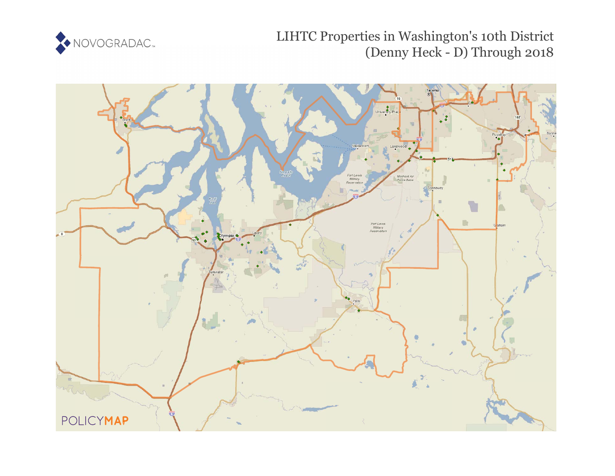

# LIHTC Properties in Washington's 10th District (Denny Heck - D) Through 2018

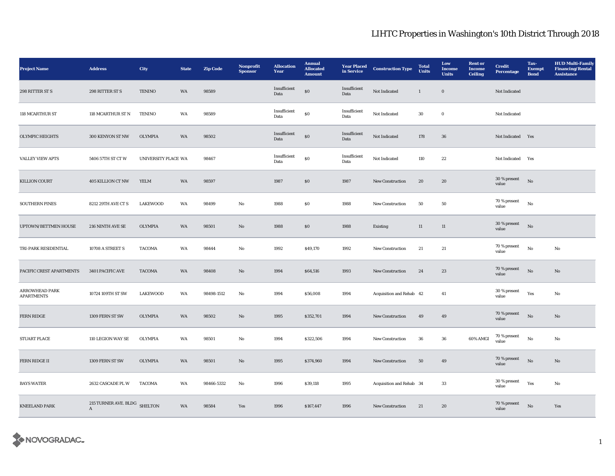| <b>Project Name</b>                        | <b>Address</b>                               | City                | <b>State</b> | <b>Zip Code</b> | Nonprofit<br><b>Sponsor</b> | <b>Allocation</b><br>Year | <b>Annual</b><br><b>Allocated</b><br><b>Amount</b> | <b>Year Placed</b><br>in Service | <b>Construction Type</b> | <b>Total</b><br><b>Units</b> | Low<br>Income<br><b>Units</b> | <b>Rent or</b><br><b>Income</b><br><b>Ceiling</b> | <b>Credit</b><br><b>Percentage</b> | Tax-<br><b>Exempt</b><br><b>Bond</b> | <b>HUD Multi-Family</b><br><b>Financing/Rental</b><br><b>Assistance</b> |
|--------------------------------------------|----------------------------------------------|---------------------|--------------|-----------------|-----------------------------|---------------------------|----------------------------------------------------|----------------------------------|--------------------------|------------------------------|-------------------------------|---------------------------------------------------|------------------------------------|--------------------------------------|-------------------------------------------------------------------------|
| 298 RITTER ST S                            | 298 RITTER ST S                              | TENINO              | WA           | 98589           |                             | Insufficient<br>Data      | $\$0$                                              | Insufficient<br>Data             | Not Indicated            | $\mathbf{1}$                 | $\boldsymbol{0}$              |                                                   | Not Indicated                      |                                      |                                                                         |
| 118 MCARTHUR ST                            | 118 MCARTHUR ST N                            | <b>TENINO</b>       | WA           | 98589           |                             | Insufficient<br>Data      | $\$0$                                              | Insufficient<br>Data             | Not Indicated            | $30\,$                       | $\mathbf 0$                   |                                                   | Not Indicated                      |                                      |                                                                         |
| <b>OLYMPIC HEIGHTS</b>                     | 300 KENYON ST NW                             | <b>OLYMPIA</b>      | WA           | 98502           |                             | Insufficient<br>Data      | $\bf{S0}$                                          | Insufficient<br>Data             | Not Indicated            | 178                          | ${\bf 36}$                    |                                                   | Not Indicated Yes                  |                                      |                                                                         |
| <b>VALLEY VIEW APTS</b>                    | 5406 57TH ST CT W                            | UNIVERSITY PLACE WA |              | 98467           |                             | Insufficient<br>Data      | $\bf{S0}$                                          | Insufficient<br>Data             | Not Indicated            | 110                          | $\bf 22$                      |                                                   | Not Indicated                      | Yes                                  |                                                                         |
| KILLION COURT                              | 405 KILLION CT NW                            | <b>YELM</b>         | WA           | 98597           |                             | 1987                      | $\$0$                                              | 1987                             | <b>New Construction</b>  | 20                           | 20                            |                                                   | $30\,\%$ present<br>value          | $_{\rm No}$                          |                                                                         |
| <b>SOUTHERN PINES</b>                      | 8212 29TH AVE CT S                           | <b>LAKEWOOD</b>     | WA           | 98499           | No                          | 1988                      | ${\bf S0}$                                         | 1988                             | <b>New Construction</b>  | 50                           | ${\bf 50}$                    |                                                   | 70 % present<br>value              | $_{\rm No}$                          |                                                                         |
| UPTOWN/BETTMEN HOUSE                       | 216 NINTH AVE SE                             | <b>OLYMPIA</b>      | WA           | 98501           | $\mathbf{N}\mathbf{o}$      | 1988                      | ${\bf S0}$                                         | 1988                             | Existing                 | $11\,$                       | $11\,$                        |                                                   | 30 % present<br>value              | $_{\rm No}$                          |                                                                         |
| TRI-PARK RESIDENTIAL                       | 10708 A STREET S                             | <b>TACOMA</b>       | WA           | 98444           | No                          | 1992                      | \$49,170                                           | 1992                             | New Construction         | 21                           | $21\,$                        |                                                   | 70 % present<br>value              | $_{\rm No}$                          | No                                                                      |
| PACIFIC CREST APARTMENTS                   | 3401 PACIFIC AVE                             | <b>TACOMA</b>       | WA           | 98408           | $\mathbf{N}\mathbf{o}$      | 1994                      | \$64,516                                           | 1993                             | <b>New Construction</b>  | 24                           | 23                            |                                                   | 70 % present<br>value              | $_{\rm No}$                          | $\mathbf{N}\mathbf{o}$                                                  |
| <b>ARROWHEAD PARK</b><br><b>APARTMENTS</b> | 10724 109TH ST SW                            | <b>LAKEWOOD</b>     | WA           | 98498-1512      | No                          | 1994                      | \$56,008                                           | 1994                             | Acquisition and Rehab 42 |                              | 41                            |                                                   | 30 % present<br>value              | Yes                                  | No                                                                      |
| FERN RIDGE                                 | 1309 FERN ST SW                              | <b>OLYMPIA</b>      | WA           | 98502           | $\rm No$                    | 1995                      | \$352,701                                          | 1994                             | New Construction         | 49                           | 49                            |                                                   | 70 % present<br>value              | $_{\rm No}$                          | $\rm No$                                                                |
| STUART PLACE                               | 110 LEGION WAY SE                            | <b>OLYMPIA</b>      | WA           | 98501           | No                          | 1994                      | \$322,506                                          | 1994                             | New Construction         | 36                           | ${\bf 36}$                    | 60% AMGI                                          | 70 % present<br>value              | No                                   | No                                                                      |
| FERN RIDGE II                              | 1309 FERN ST SW                              | <b>OLYMPIA</b>      | WA           | 98501           | No                          | 1995                      | \$374,960                                          | 1994                             | New Construction         | 50                           | 49                            |                                                   | 70 % present<br>value              | $_{\rm No}$                          | $\mathbf{N}\mathbf{o}$                                                  |
| <b>BAYS WATER</b>                          | 2632 CASCADE PL W                            | <b>TACOMA</b>       | WA           | 98466-5332      | No                          | 1996                      | \$39,118                                           | 1995                             | Acquisition and Rehab 34 |                              | $33\,$                        |                                                   | 30 % present<br>value              | Yes                                  | No                                                                      |
| <b>KNEELAND PARK</b>                       | 215 TURNER AVE. BLDG SHELTON<br>$\mathbf{A}$ |                     | WA           | 98584           | Yes                         | 1996                      | \$167,447                                          | 1996                             | New Construction         | 21                           | ${\bf 20}$                    |                                                   | 70 % present<br>value              | $\rm No$                             | Yes                                                                     |

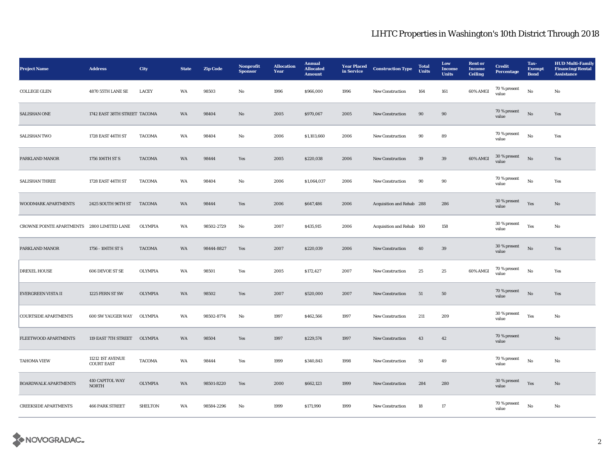| <b>Project Name</b>                        | <b>Address</b>                        | City           | <b>State</b> | <b>Zip Code</b> | Nonprofit<br><b>Sponsor</b> | <b>Allocation</b><br>Year | <b>Annual</b><br><b>Allocated</b><br><b>Amount</b> | <b>Year Placed</b><br>in Service | <b>Construction Type</b>  | <b>Total</b><br><b>Units</b> | Low<br>Income<br><b>Units</b> | <b>Rent or</b><br><b>Income</b><br><b>Ceiling</b> | <b>Credit</b><br><b>Percentage</b> | Tax-<br><b>Exempt</b><br><b>Bond</b> | <b>HUD Multi-Family</b><br><b>Financing/Rental</b><br><b>Assistance</b> |
|--------------------------------------------|---------------------------------------|----------------|--------------|-----------------|-----------------------------|---------------------------|----------------------------------------------------|----------------------------------|---------------------------|------------------------------|-------------------------------|---------------------------------------------------|------------------------------------|--------------------------------------|-------------------------------------------------------------------------|
| COLLEGE GLEN                               | 4870 55TH LANE SE                     | <b>LACEY</b>   | WA           | 98503           | No                          | 1996                      | \$966,000                                          | 1996                             | New Construction          | 164                          | 161                           | 60% AMGI                                          | 70 % present<br>value              | $\rm\, No$                           | No                                                                      |
| <b>SALISHAN ONE</b>                        | 1742 EAST 38TH STREET TACOMA          |                | WA           | 98404           | $\mathbf{No}$               | 2005                      | \$970,067                                          | 2005                             | New Construction          | $90\,$                       | $90\,$                        |                                                   | 70 % present<br>value              | $\rm\thinspace No$                   | Yes                                                                     |
| <b>SALISHAN TWO</b>                        | 1728 EAST 44TH ST                     | <b>TACOMA</b>  | WA           | 98404           | No                          | 2006                      | \$1,103,660                                        | 2006                             | New Construction          | 90                           | 89                            |                                                   | 70 % present<br>value              | $\rm No$                             | Yes                                                                     |
| PARKLAND MANOR                             | 1756 106TH ST S                       | <b>TACOMA</b>  | WA           | 98444           | Yes                         | 2005                      | \$220,038                                          | 2006                             | <b>New Construction</b>   | 39                           | 39                            | 60% AMGI                                          | 30 % present<br>value              | $\mathbf{N}\mathbf{o}$               | Yes                                                                     |
| <b>SALISHAN THREE</b>                      | 1728 EAST 44TH ST                     | <b>TACOMA</b>  | WA           | 98404           | No                          | 2006                      | \$1,064,037                                        | 2006                             | <b>New Construction</b>   | 90                           | 90                            |                                                   | 70 % present<br>value              | $\mathbf{No}$                        | Yes                                                                     |
| WOODMARK APARTMENTS                        | 2425 SOUTH 96TH ST                    | <b>TACOMA</b>  | WA           | 98444           | Yes                         | 2006                      | \$647,486                                          | 2006                             | Acquisition and Rehab 288 |                              | 286                           |                                                   | 30 % present<br>value              | Yes                                  | No                                                                      |
| CROWNE POINTE APARTMENTS 2800 LIMITED LANE |                                       | <b>OLYMPIA</b> | WA           | 98502-2729      | No                          | 2007                      | \$435,915                                          | 2006                             | Acquisition and Rehab 160 |                              | 158                           |                                                   | 30 % present<br>value              | Yes                                  | No                                                                      |
| PARKLAND MANOR                             | 1756 - 106TH ST S                     | <b>TACOMA</b>  | <b>WA</b>    | 98444-8827      | Yes                         | 2007                      | \$220,039                                          | 2006                             | <b>New Construction</b>   | 40                           | 39                            |                                                   | 30 % present<br>value              | $\mathbf{No}$                        | Yes                                                                     |
| <b>DREXEL HOUSE</b>                        | 606 DEVOE ST SE                       | <b>OLYMPIA</b> | WA           | 98501           | Yes                         | 2005                      | \$172,427                                          | 2007                             | <b>New Construction</b>   | 25                           | 25                            | 60% AMGI                                          | 70 % present<br>value              | $\rm No$                             | Yes                                                                     |
| <b>EVERGREEN VISTA II</b>                  | 1225 FERN ST SW                       | <b>OLYMPIA</b> | WA           | 98502           | Yes                         | 2007                      | \$520,000                                          | 2007                             | <b>New Construction</b>   | 51                           | 50                            |                                                   | 70 % present<br>value              | $\mathbf{N}\mathbf{o}$               | Yes                                                                     |
| <b>COURTSIDE APARTMENTS</b>                | 600 SW YAUGER WAY                     | <b>OLYMPIA</b> | WA           | 98502-8774      | No                          | 1997                      | \$462,566                                          | 1997                             | New Construction          | 211                          | 209                           |                                                   | 30 % present<br>value              | Yes                                  | No                                                                      |
| FLEETWOOD APARTMENTS                       | 119 EAST 7TH STREET                   | <b>OLYMPIA</b> | WA           | 98504           | Yes                         | 1997                      | \$229,574                                          | 1997                             | <b>New Construction</b>   | 43                           | 42                            |                                                   | 70 % present<br>value              |                                      | $\mathbf{N}\mathbf{o}$                                                  |
| <b>TAHOMA VIEW</b>                         | 11212 1ST AVENUE<br><b>COURT EAST</b> | <b>TACOMA</b>  | WA           | 98444           | Yes                         | 1999                      | \$340,843                                          | 1998                             | New Construction          | 50                           | 49                            |                                                   | 70 % present<br>value              | No                                   | No                                                                      |
| <b>BOARDWALK APARTMENTS</b>                | 410 CAPITOL WAY<br><b>NORTH</b>       | <b>OLYMPIA</b> | WA           | 98501-8220      | Yes                         | 2000                      | \$662,123                                          | 1999                             | <b>New Construction</b>   | 284                          | 280                           |                                                   | 30 % present<br>value              | Yes                                  | No                                                                      |
| <b>CREEKSIDE APARTMENTS</b>                | <b>466 PARK STREET</b>                | <b>SHELTON</b> | WA           | 98584-2296      | No                          | 1999                      | \$171,990                                          | 1999                             | <b>New Construction</b>   | 18                           | $17\,$                        |                                                   | 70 % present<br>value              | No                                   | No                                                                      |

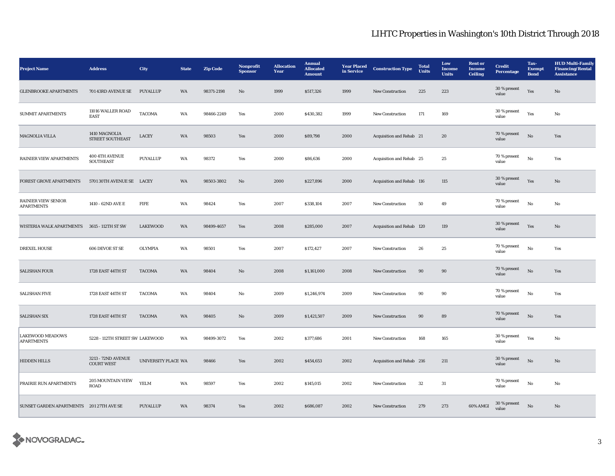| <b>Project Name</b>                             | <b>Address</b>                          | <b>City</b>         | <b>State</b> | <b>Zip Code</b> | Nonprofit<br><b>Sponsor</b> | <b>Allocation</b><br>Year | <b>Annual</b><br><b>Allocated</b><br><b>Amount</b> | <b>Year Placed</b><br>in Service | <b>Construction Type</b>  | <b>Total</b><br><b>Units</b> | Low<br><b>Income</b><br><b>Units</b> | <b>Rent</b> or<br><b>Income</b><br><b>Ceiling</b> | <b>Credit</b><br>Percentage | Tax-<br><b>Exempt</b><br><b>Bond</b> | <b>HUD Multi-Family</b><br><b>Financing/Rental</b><br><b>Assistance</b> |
|-------------------------------------------------|-----------------------------------------|---------------------|--------------|-----------------|-----------------------------|---------------------------|----------------------------------------------------|----------------------------------|---------------------------|------------------------------|--------------------------------------|---------------------------------------------------|-----------------------------|--------------------------------------|-------------------------------------------------------------------------|
| <b>GLENBROOKE APARTMENTS</b>                    | 701 43RD AVENUE SE                      | PUYALLUP            | <b>WA</b>    | 98371-2198      | $\mathbf{N}\mathbf{o}$      | 1999                      | \$517,326                                          | 1999                             | <b>New Construction</b>   | 225                          | 223                                  |                                                   | 30 % present<br>value       | Yes                                  | $\mathbf{N}\mathbf{o}$                                                  |
| <b>SUMMIT APARTMENTS</b>                        | 11016 WALLER ROAD<br><b>EAST</b>        | <b>TACOMA</b>       | WA           | 98466-2249      | Yes                         | 2000                      | \$430,382                                          | 1999                             | <b>New Construction</b>   | 171                          | 169                                  |                                                   | $30\,\%$ present<br>value   | Yes                                  | No                                                                      |
| MAGNOLIA VILLA                                  | 1410 MAGNOLIA<br>STREET SOUTHEAST       | LACEY               | WA           | 98503           | Yes                         | 2000                      | \$89,798                                           | 2000                             | Acquisition and Rehab 21  |                              | 20                                   |                                                   | 70 % present<br>value       | $_{\rm No}$                          | Yes                                                                     |
| <b>RAINIER VIEW APARTMENTS</b>                  | 400 4TH AVENUE<br><b>SOUTHEAST</b>      | PUYALLUP            | WA           | 98372           | Yes                         | 2000                      | \$86,636                                           | 2000                             | Acquisition and Rehab 25  |                              | 25                                   |                                                   | 70 % present<br>value       | No                                   | Yes                                                                     |
| FOREST GROVE APARTMENTS                         | 5701 30TH AVENUE SE LACEY               |                     | WA           | 98503-3802      | No                          | 2000                      | \$227,896                                          | 2000                             | Acquisition and Rehab 116 |                              | 115                                  |                                                   | 30 % present<br>value       | Yes                                  | No                                                                      |
| <b>RAINIER VIEW SENIOR</b><br><b>APARTMENTS</b> | 1410 - 62ND AVE E                       | <b>FIFE</b>         | WA           | 98424           | Yes                         | 2007                      | \$338,104                                          | 2007                             | New Construction          | 50                           | 49                                   |                                                   | 70 % present<br>value       | $_{\rm No}$                          | No                                                                      |
| WISTERIA WALK APARTMENTS                        | 3615 - 112TH ST SW                      | <b>LAKEWOOD</b>     | WA           | 98499-4657      | Yes                         | 2008                      | \$285,000                                          | 2007                             | Acquisition and Rehab 120 |                              | 119                                  |                                                   | 30 % present<br>value       | Yes                                  | No                                                                      |
| <b>DREXEL HOUSE</b>                             | 606 DEVOE ST SE                         | OLYMPIA             | WA           | 98501           | Yes                         | 2007                      | \$172,427                                          | 2007                             | New Construction          | ${\bf 26}$                   | 25                                   |                                                   | 70 % present<br>value       | $_{\rm No}$                          | Yes                                                                     |
| <b>SALISHAN FOUR</b>                            | 1728 EAST 44TH ST                       | <b>TACOMA</b>       | WA           | 98404           | $\mathbf{No}$               | 2008                      | \$1,161,000                                        | 2008                             | New Construction          | $90\,$                       | $90\,$                               |                                                   | 70 % present<br>value       | $\rm No$                             | Yes                                                                     |
| <b>SALISHAN FIVE</b>                            | 1728 EAST 44TH ST                       | <b>TACOMA</b>       | WA           | 98404           | No                          | 2009                      | \$1,246,974                                        | 2009                             | <b>New Construction</b>   | 90                           | 90                                   |                                                   | 70 % present<br>value       | No                                   | Yes                                                                     |
| <b>SALISHAN SIX</b>                             | 1728 EAST 44TH ST                       | <b>TACOMA</b>       | WA           | 98405           | $\mathbf{N}\mathbf{o}$      | 2009                      | \$1,421,507                                        | 2009                             | <b>New Construction</b>   | 90                           | 89                                   |                                                   | 70 % present<br>value       | No                                   | Yes                                                                     |
| <b>LAKEWOOD MEADOWS</b><br><b>APARTMENTS</b>    | 5228 - 112TH STREET SW LAKEWOOD         |                     | WA           | 98499-3072      | Yes                         | 2002                      | \$377,686                                          | 2001                             | <b>New Construction</b>   | 168                          | 165                                  |                                                   | 30 % present<br>value       | Yes                                  | No                                                                      |
| <b>HIDDEN HILLS</b>                             | 3213 - 72ND AVENUE<br><b>COURT WEST</b> | UNIVERSITY PLACE WA |              | 98466           | Yes                         | 2002                      | \$454,653                                          | 2002                             | Acquisition and Rehab 216 |                              | 211                                  |                                                   | 30 % present<br>value       | $_{\rm No}$                          | No                                                                      |
| PRAIRIE RUN APARTMENTS                          | 205 MOUNTAIN VIEW<br><b>ROAD</b>        | <b>YELM</b>         | WA           | 98597           | Yes                         | 2002                      | \$145,015                                          | 2002                             | <b>New Construction</b>   | 32                           | 31                                   |                                                   | 70 % present<br>value       | No                                   | No                                                                      |
| SUNSET GARDEN APARTMENTS 201 27TH AVE SE        |                                         | <b>PUYALLUP</b>     | WA           | 98374           | Yes                         | 2002                      | \$686,087                                          | 2002                             | <b>New Construction</b>   | 279                          | 273                                  | 60% AMGI                                          | 30 % present<br>value       | No                                   | No                                                                      |

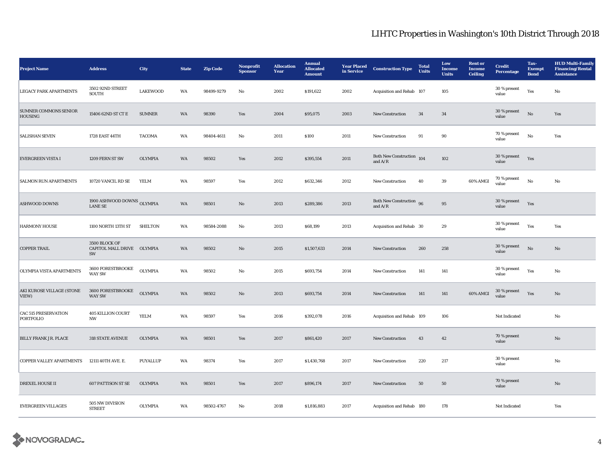| <b>Project Name</b>                            | <b>Address</b>                                    | City            | <b>State</b> | <b>Zip Code</b> | Nonprofit<br><b>Sponsor</b> | <b>Allocation</b><br>Year | <b>Annual</b><br><b>Allocated</b><br><b>Amount</b> | <b>Year Placed</b><br>in Service | <b>Construction Type</b>                         | <b>Total</b><br>Units | Low<br><b>Income</b><br><b>Units</b> | <b>Rent</b> or<br><b>Income</b><br><b>Ceiling</b> | <b>Credit</b><br><b>Percentage</b> | Tax-<br><b>Exempt</b><br><b>Bond</b> | <b>HUD Multi-Family</b><br><b>Financing/Rental</b><br><b>Assistance</b> |
|------------------------------------------------|---------------------------------------------------|-----------------|--------------|-----------------|-----------------------------|---------------------------|----------------------------------------------------|----------------------------------|--------------------------------------------------|-----------------------|--------------------------------------|---------------------------------------------------|------------------------------------|--------------------------------------|-------------------------------------------------------------------------|
| <b>LEGACY PARK APARTMENTS</b>                  | 3502 92ND STREET<br>SOUTH                         | <b>LAKEWOOD</b> | WA           | 98499-9279      | No                          | 2002                      | \$191,622                                          | 2002                             | Acquisition and Rehab 107                        |                       | 105                                  |                                                   | 30 % present<br>value              | Yes                                  | $\mathbf{No}$                                                           |
| <b>SUMNER COMMONS SENIOR</b><br><b>HOUSING</b> | 15406 62ND ST CT E                                | <b>SUMNER</b>   | WA           | 98390           | Yes                         | 2004                      | \$95,075                                           | 2003                             | <b>New Construction</b>                          | 34                    | 34                                   |                                                   | 30 % present<br>value              | No                                   | Yes                                                                     |
| <b>SALISHAN SEVEN</b>                          | 1728 EAST 44TH                                    | TACOMA          | WA           | 98404-4611      | No                          | 2011                      | \$100                                              | 2011                             | <b>New Construction</b>                          | 91                    | 90                                   |                                                   | 70 % present<br>value              | No                                   | Yes                                                                     |
| <b>EVERGREEN VISTA I</b>                       | 1209 FERN ST SW                                   | <b>OLYMPIA</b>  | WA           | 98502           | Yes                         | 2012                      | \$395,554                                          | 2011                             | Both New Construction $\,$ 104 $\,$<br>and $A/R$ |                       | 102                                  |                                                   | 30 % present<br>value              | Yes                                  |                                                                         |
| <b>SALMON RUN APARTMENTS</b>                   | 10720 VANCIL RD SE                                | YELM            | WA           | 98597           | Yes                         | 2012                      | \$632,346                                          | 2012                             | New Construction                                 | 40                    | 39                                   | 60% AMGI                                          | 70 % present<br>value              | No                                   | $\rm No$                                                                |
| <b>ASHWOOD DOWNS</b>                           | 1900 ASHWOOD DOWNS OLYMPIA<br><b>LANE SE</b>      |                 | WA           | 98501           | No                          | 2013                      | \$289,386                                          | 2013                             | Both New Construction 96<br>and $\rm A/R$        |                       | $\bf{95}$                            |                                                   | $30\,\%$ present<br>value          | Yes                                  |                                                                         |
| <b>HARMONY HOUSE</b>                           | 1100 NORTH 13TH ST                                | <b>SHELTON</b>  | WA           | 98584-2088      | No                          | 2013                      | \$68,199                                           | 2013                             | Acquisition and Rehab 30                         |                       | 29                                   |                                                   | 30 % present<br>value              | Yes                                  | Yes                                                                     |
| <b>COPPER TRAIL</b>                            | 3500 BLOCK OF<br>CAPITOL MALL DRIVE OLYMPIA<br>SW |                 | WA           | 98502           | No                          | 2015                      | \$1,507,633                                        | 2014                             | <b>New Construction</b>                          | 260                   | 258                                  |                                                   | 30 % present<br>value              | No                                   | No                                                                      |
| OLYMPIA VISTA APARTMENTS                       | 3600 FORESTBROOKE<br><b>WAY SW</b>                | <b>OLYMPIA</b>  | WA           | 98502           | No                          | 2015                      | \$693,754                                          | 2014                             | <b>New Construction</b>                          | 141                   | 141                                  |                                                   | 30 % present<br>value              | Yes                                  | No                                                                      |
| AKI KUROSE VILLAGE (STONE<br>VIEW)             | 3600 FORESTBROOKE<br><b>WAY SW</b>                | <b>OLYMPIA</b>  | WA           | 98502           | No                          | 2013                      | \$693,754                                          | 2014                             | New Construction                                 | 141                   | 141                                  | 60% AMGI                                          | 30 % present<br>value              | Yes                                  | $\mathbf{N}\mathbf{o}$                                                  |
| <b>CAC 515 PRESERVATION</b><br>PORTFOLIO       | <b>405 KILLION COURT</b><br><b>NW</b>             | YELM            | WA           | 98597           | Yes                         | 2016                      | \$392,078                                          | 2016                             | Acquisition and Rehab 109                        |                       | 106                                  |                                                   | Not Indicated                      |                                      | $\rm No$                                                                |
| <b>BILLY FRANK JR. PLACE</b>                   | <b>318 STATE AVENUE</b>                           | <b>OLYMPIA</b>  | WA           | 98501           | Yes                         | 2017                      | \$861,420                                          | 2017                             | <b>New Construction</b>                          | 43                    | 42                                   |                                                   | 70 % present<br>value              |                                      | No                                                                      |
| <b>COPPER VALLEY APARTMENTS</b>                | 12111 40TH AVE. E.                                | <b>PUYALLUP</b> | WA           | 98374           | Yes                         | 2017                      | \$1,430,768                                        | 2017                             | <b>New Construction</b>                          | 220                   | 217                                  |                                                   | 30 % present<br>value              |                                      | No                                                                      |
| <b>DREXEL HOUSE II</b>                         | <b>607 PATTISON ST SE</b>                         | OLYMPIA         | WA           | 98501           | Yes                         | 2017                      | \$896,174                                          | 2017                             | <b>New Construction</b>                          | 50                    | 50                                   |                                                   | 70 % present<br>value              |                                      | No                                                                      |
| <b>EVERGREEN VILLAGES</b>                      | 505 NW DIVISION<br><b>STREET</b>                  | OLYMPIA         | WA           | 98502-4767      | No                          | 2018                      | \$1,816,883                                        | 2017                             | Acquisition and Rehab 180                        |                       | 178                                  |                                                   | Not Indicated                      |                                      | Yes                                                                     |